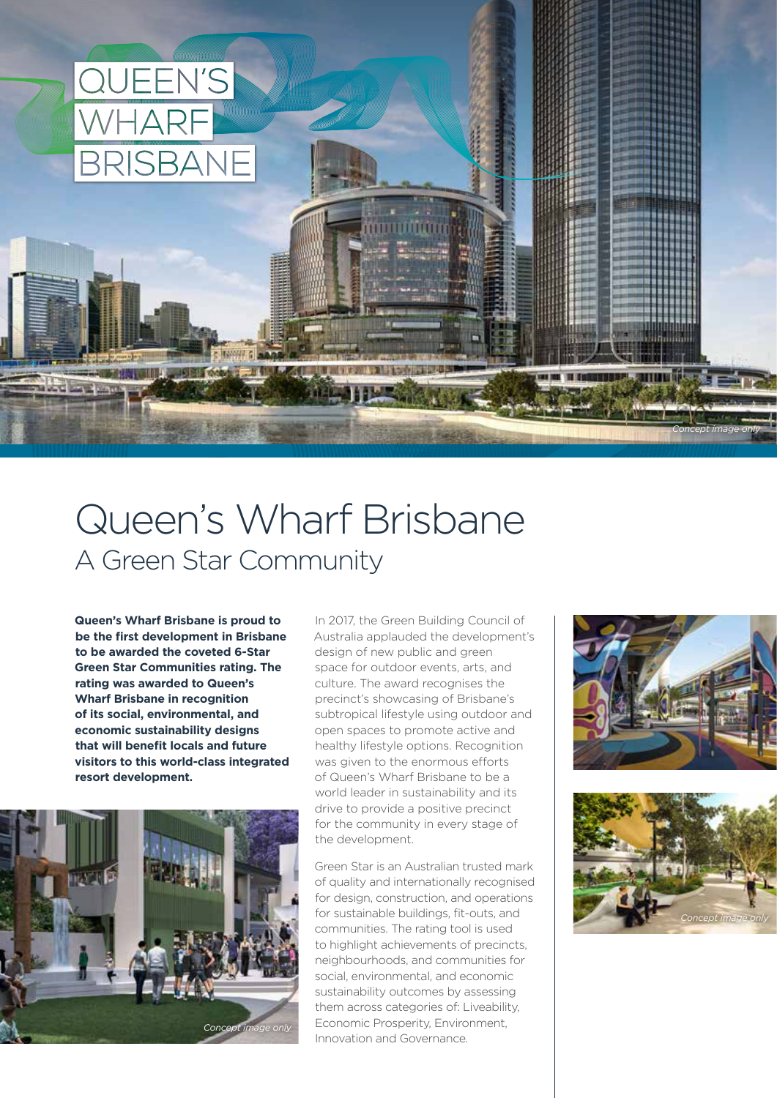

# Queen's Wharf Brisbane A Green Star Community

**Queen's Wharf Brisbane is proud to be the first development in Brisbane to be awarded the coveted 6-Star Green Star Communities rating. The rating was awarded to Queen's Wharf Brisbane in recognition of its social, environmental, and economic sustainability designs that will benefit locals and future visitors to this world-class integrated resort development.** 



In 2017, the Green Building Council of Australia applauded the development's design of new public and green space for outdoor events, arts, and culture. The award recognises the precinct's showcasing of Brisbane's subtropical lifestyle using outdoor and open spaces to promote active and healthy lifestyle options. Recognition was given to the enormous efforts of Queen's Wharf Brisbane to be a world leader in sustainability and its drive to provide a positive precinct for the community in every stage of the development.

Green Star is an Australian trusted mark of quality and internationally recognised for design, construction, and operations for sustainable buildings, fit-outs, and communities. The rating tool is used to highlight achievements of precincts, neighbourhoods, and communities for social, environmental, and economic sustainability outcomes by assessing them across categories of: Liveability, Economic Prosperity, Environment, Innovation and Governance.



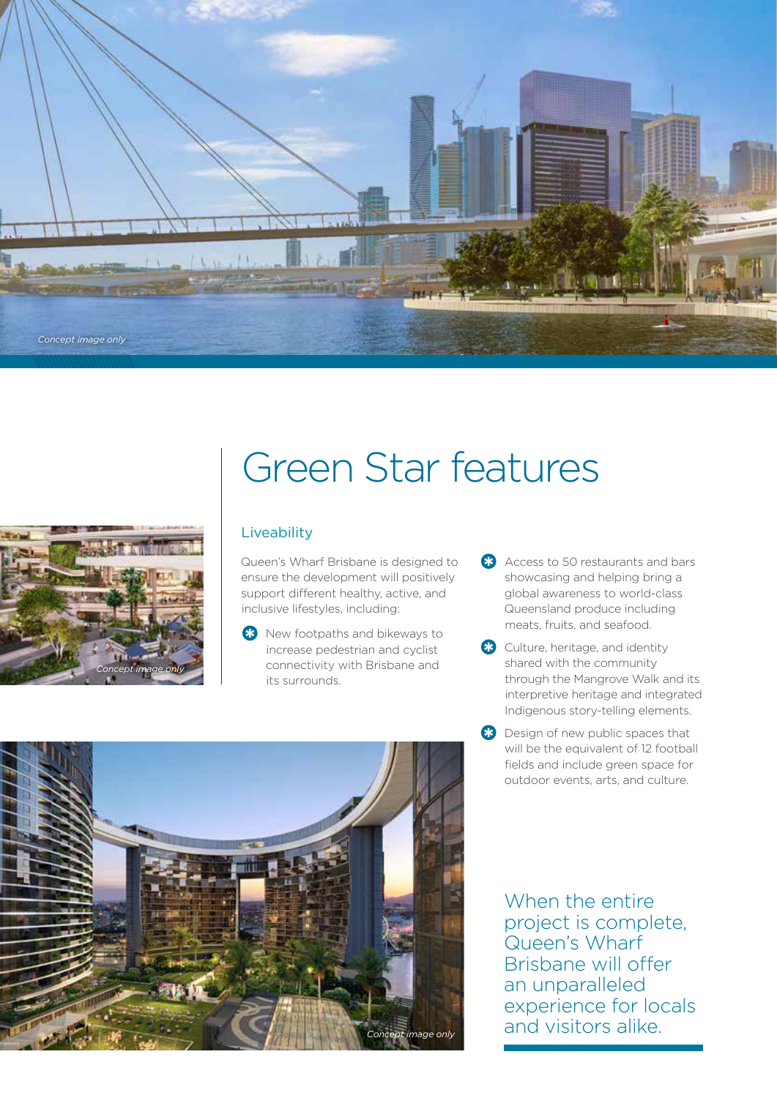



# Green Star features

# **Liveability**

Queen's Wharf Brisbane is designed to ensure the development will positively support different healthy, active, and inclusive lifestyles, including:

- **X** New footpaths and bikeways to increase pedestrian and cyclist connectivity with Brisbane and its surrounds.
- Access to 50 restaurants and bars showcasing and helping bring a global awareness to world-class Queensland produce including meats, fruits, and seafood.
- <sup>8</sup> Culture, heritage, and identity shared with the community through the Mangrove Walk and its interpretive heritage and integrated Indigenous story-telling elements.
- <sup>8</sup> Design of new public spaces that will be the equivalent of 12 football fields and include green space for outdoor events, arts, and culture.



When the entire project is complete, Queen's Wharf Brisbane will offer an unparalleled experience for locals and visitors alike.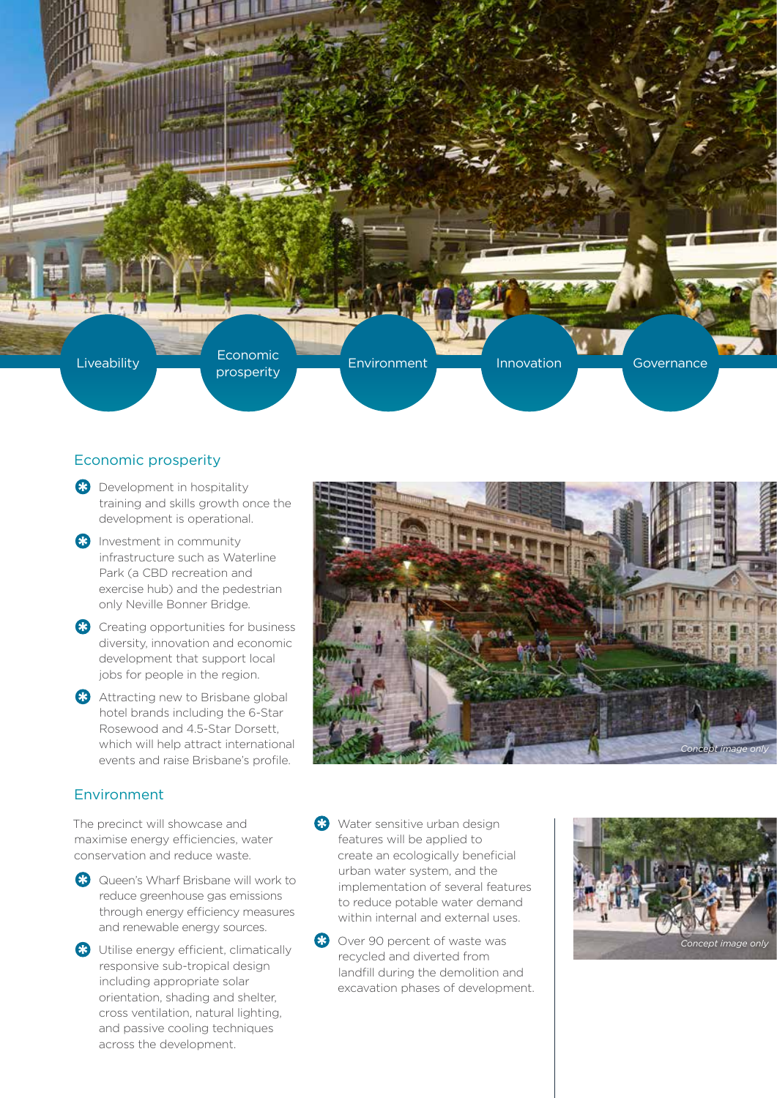

# Economic prosperity

- **B** Development in hospitality training and skills growth once the development is operational.
- **B** Investment in community infrastructure such as Waterline Park (a CBD recreation and exercise hub) and the pedestrian only Neville Bonner Bridge.
- <sup>8</sup> Creating opportunities for business diversity, innovation and economic development that support local jobs for people in the region.
- **Attracting new to Brisbane global** hotel brands including the 6-Star Rosewood and 4.5-Star Dorsett, which will help attract international events and raise Brisbane's profile.

# Environment

The precinct will showcase and maximise energy efficiencies, water conservation and reduce waste.

- **B** Queen's Wharf Brisbane will work to reduce greenhouse gas emissions through energy efficiency measures and renewable energy sources.
- **8** Utilise energy efficient, climatically responsive sub-tropical design including appropriate solar orientation, shading and shelter, cross ventilation, natural lighting, and passive cooling techniques across the development.



- **83** Water sensitive urban design features will be applied to create an ecologically beneficial urban water system, and the implementation of several features to reduce potable water demand within internal and external uses.
- 8 Over 90 percent of waste was recycled and diverted from landfill during the demolition and excavation phases of development.